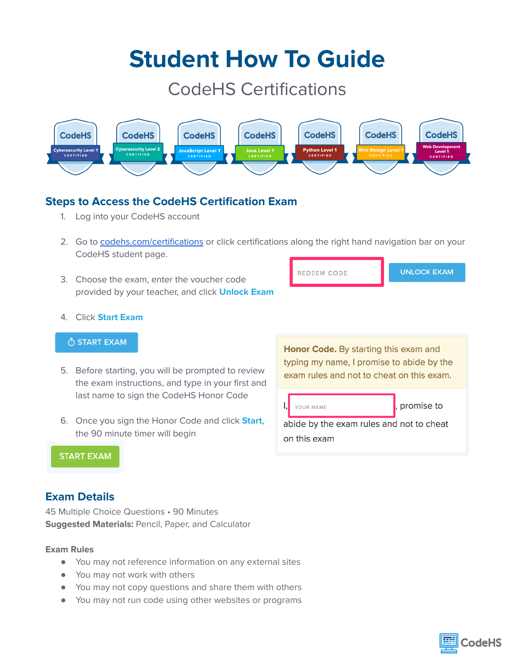# **Student How To Guide**

# CodeHS Certifications



## **Steps to Access the CodeHS Certification Exam**

- 1. Log into your CodeHS account
- 2. Go to [codehs.com/certifications](http://codehs.com/certifications) or click certifications along the right hand navigation bar on your CodeHS student page.
- 3. Choose the exam, enter the voucher code provided by your teacher, and click **Unlock Exam**

| REDEEM CODE | <b>UNLOCK EXAM</b> |
|-------------|--------------------|
|             |                    |

#### 4. Click **Start Exam**

#### O START EXAM

- 5. Before starting, you will be prompted to review the exam instructions, and type in your first and last name to sign the CodeHS Honor Code
- 6. Once you sign the Honor Code and click **Start**, the 90 minute timer will begin

Honor Code. By starting this exam and typing my name, I promise to abide by the exam rules and not to cheat on this exam.





### **Exam Details**

45 Multiple Choice Questions • 90 Minutes **Suggested Materials:** Pencil, Paper, and Calculator

#### **Exam Rules**

- You may not reference information on any external sites
- You may not work with others
- You may not copy questions and share them with others
- You may not run code using other websites or programs